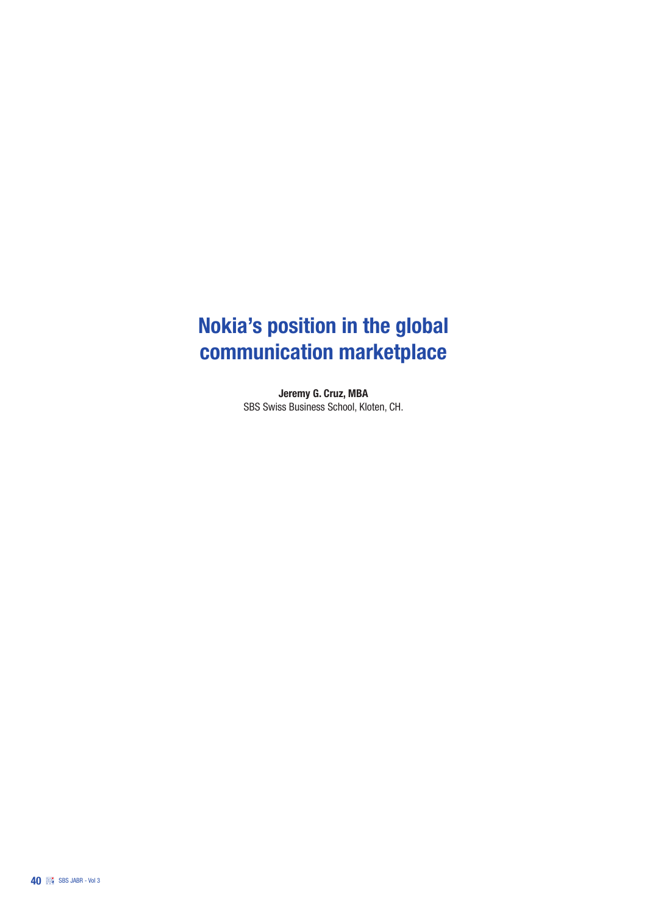# Nokia's position in the global communication marketplace

Jeremy G. Cruz, MBA SBS Swiss Business School, Kloten, CH.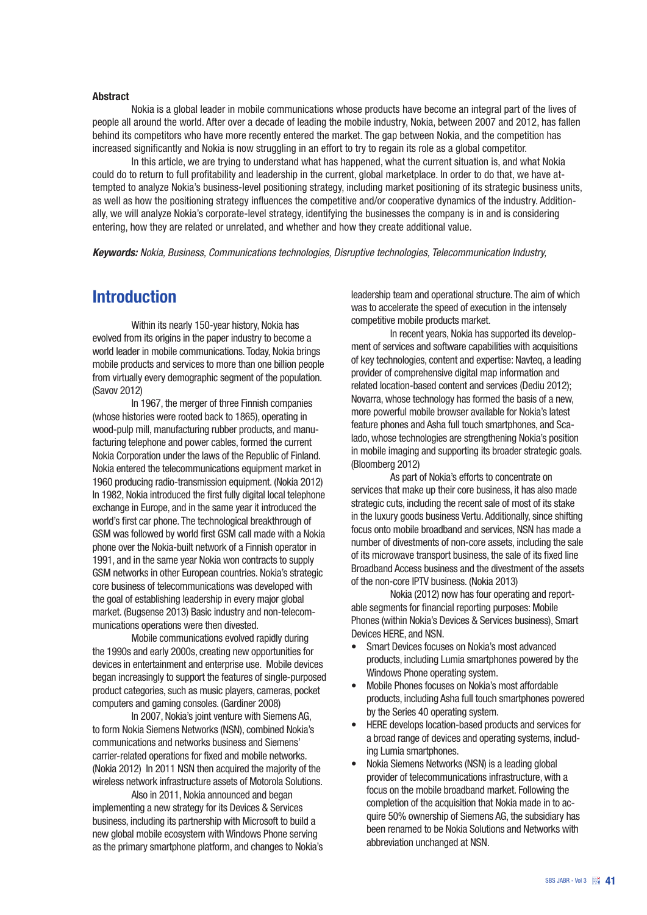#### Abstract

Nokia is a global leader in mobile communications whose products have become an integral part of the lives of people all around the world. After over a decade of leading the mobile industry, Nokia, between 2007 and 2012, has fallen behind its competitors who have more recently entered the market. The gap between Nokia, and the competition has increased significantly and Nokia is now struggling in an effort to try to regain its role as a global competitor.

In this article, we are trying to understand what has happened, what the current situation is, and what Nokia could do to return to full profitability and leadership in the current, global marketplace. In order to do that, we have attempted to analyze Nokia's business-level positioning strategy, including market positioning of its strategic business units, as well as how the positioning strategy influences the competitive and/or cooperative dynamics of the industry. Additionally, we will analyze Nokia's corporate-level strategy, identifying the businesses the company is in and is considering entering, how they are related or unrelated, and whether and how they create additional value.

*Keywords: Nokia, Business, Communications technologies, Disruptive technologies, Telecommunication Industry,* 

#### Introduction

Within its nearly 150-year history, Nokia has evolved from its origins in the paper industry to become a world leader in mobile communications. Today, Nokia brings mobile products and services to more than one billion people from virtually every demographic segment of the population. (Savov 2012)

In 1967, the merger of three Finnish companies (whose histories were rooted back to 1865), operating in wood-pulp mill, manufacturing rubber products, and manufacturing telephone and power cables, formed the current Nokia Corporation under the laws of the Republic of Finland. Nokia entered the telecommunications equipment market in 1960 producing radio-transmission equipment. (Nokia 2012) In 1982, Nokia introduced the first fully digital local telephone exchange in Europe, and in the same year it introduced the world's first car phone. The technological breakthrough of GSM was followed by world first GSM call made with a Nokia phone over the Nokia-built network of a Finnish operator in 1991, and in the same year Nokia won contracts to supply GSM networks in other European countries. Nokia's strategic core business of telecommunications was developed with the goal of establishing leadership in every major global market. (Bugsense 2013) Basic industry and non-telecommunications operations were then divested.

Mobile communications evolved rapidly during the 1990s and early 2000s, creating new opportunities for devices in entertainment and enterprise use. Mobile devices began increasingly to support the features of single-purposed product categories, such as music players, cameras, pocket computers and gaming consoles. (Gardiner 2008)

In 2007, Nokia's joint venture with Siemens AG, to form Nokia Siemens Networks (NSN), combined Nokia's communications and networks business and Siemens' carrier-related operations for fixed and mobile networks. (Nokia 2012) In 2011 NSN then acquired the majority of the wireless network infrastructure assets of Motorola Solutions.

Also in 2011, Nokia announced and began implementing a new strategy for its Devices & Services business, including its partnership with Microsoft to build a new global mobile ecosystem with Windows Phone serving as the primary smartphone platform, and changes to Nokia's leadership team and operational structure. The aim of which was to accelerate the speed of execution in the intensely competitive mobile products market.

In recent years, Nokia has supported its development of services and software capabilities with acquisitions of key technologies, content and expertise: Navteq, a leading provider of comprehensive digital map information and related location-based content and services (Dediu 2012); Novarra, whose technology has formed the basis of a new, more powerful mobile browser available for Nokia's latest feature phones and Asha full touch smartphones, and Scalado, whose technologies are strengthening Nokia's position in mobile imaging and supporting its broader strategic goals. (Bloomberg 2012)

As part of Nokia's efforts to concentrate on services that make up their core business, it has also made strategic cuts, including the recent sale of most of its stake in the luxury goods business Vertu. Additionally, since shifting focus onto mobile broadband and services, NSN has made a number of divestments of non-core assets, including the sale of its microwave transport business, the sale of its fixed line Broadband Access business and the divestment of the assets of the non-core IPTV business. (Nokia 2013)

Nokia (2012) now has four operating and reportable segments for financial reporting purposes: Mobile Phones (within Nokia's Devices & Services business), Smart Devices HERE, and NSN.

- Smart Devices focuses on Nokia's most advanced products, including Lumia smartphones powered by the Windows Phone operating system.
- Mobile Phones focuses on Nokia's most affordable products, including Asha full touch smartphones powered by the Series 40 operating system.
- • HERE develops location-based products and services for a broad range of devices and operating systems, including Lumia smartphones.
- Nokia Siemens Networks (NSN) is a leading global provider of telecommunications infrastructure, with a focus on the mobile broadband market. Following the completion of the acquisition that Nokia made in to acquire 50% ownership of Siemens AG, the subsidiary has been renamed to be Nokia Solutions and Networks with abbreviation unchanged at NSN.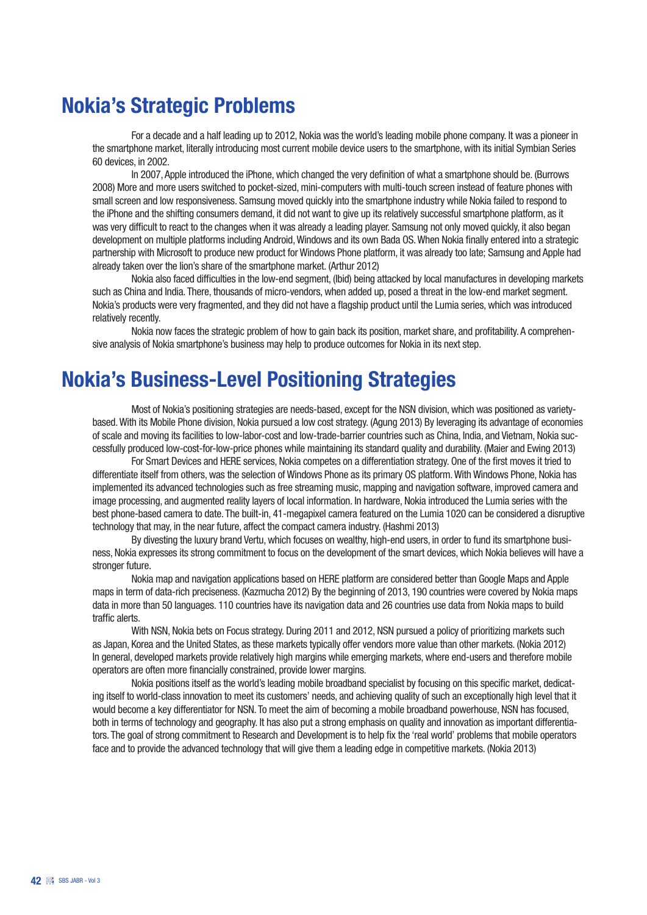#### Nokia's Strategic Problems

For a decade and a half leading up to 2012, Nokia was the world's leading mobile phone company. It was a pioneer in the smartphone market, literally introducing most current mobile device users to the smartphone, with its initial Symbian Series 60 devices, in 2002.

In 2007, Apple introduced the iPhone, which changed the very definition of what a smartphone should be. (Burrows 2008) More and more users switched to pocket-sized, mini-computers with multi-touch screen instead of feature phones with small screen and low responsiveness. Samsung moved quickly into the smartphone industry while Nokia failed to respond to the iPhone and the shifting consumers demand, it did not want to give up its relatively successful smartphone platform, as it was very difficult to react to the changes when it was already a leading player. Samsung not only moved quickly, it also began development on multiple platforms including Android, Windows and its own Bada OS. When Nokia finally entered into a strategic partnership with Microsoft to produce new product for Windows Phone platform, it was already too late; Samsung and Apple had already taken over the lion's share of the smartphone market. (Arthur 2012)

Nokia also faced difficulties in the low-end segment, (Ibid) being attacked by local manufactures in developing markets such as China and India. There, thousands of micro-vendors, when added up, posed a threat in the low-end market segment. Nokia's products were very fragmented, and they did not have a flagship product until the Lumia series, which was introduced relatively recently.

Nokia now faces the strategic problem of how to gain back its position, market share, and profitability. A comprehensive analysis of Nokia smartphone's business may help to produce outcomes for Nokia in its next step.

#### Nokia's Business-Level Positioning Strategies

Most of Nokia's positioning strategies are needs-based, except for the NSN division, which was positioned as varietybased. With its Mobile Phone division, Nokia pursued a low cost strategy. (Agung 2013) By leveraging its advantage of economies of scale and moving its facilities to low-labor-cost and low-trade-barrier countries such as China, India, and Vietnam, Nokia successfully produced low-cost-for-low-price phones while maintaining its standard quality and durability. (Maier and Ewing 2013)

For Smart Devices and HERE services, Nokia competes on a differentiation strategy. One of the first moves it tried to differentiate itself from others, was the selection of Windows Phone as its primary OS platform. With Windows Phone, Nokia has implemented its advanced technologies such as free streaming music, mapping and navigation software, improved camera and image processing, and augmented reality layers of local information. In hardware, Nokia introduced the Lumia series with the best phone-based camera to date. The built-in, 41-megapixel camera featured on the Lumia 1020 can be considered a disruptive technology that may, in the near future, affect the compact camera industry. (Hashmi 2013)

By divesting the luxury brand Vertu, which focuses on wealthy, high-end users, in order to fund its smartphone business, Nokia expresses its strong commitment to focus on the development of the smart devices, which Nokia believes will have a stronger future.

Nokia map and navigation applications based on HERE platform are considered better than Google Maps and Apple maps in term of data-rich preciseness. (Kazmucha 2012) By the beginning of 2013, 190 countries were covered by Nokia maps data in more than 50 languages. 110 countries have its navigation data and 26 countries use data from Nokia maps to build traffic alerts.

With NSN, Nokia bets on Focus strategy. During 2011 and 2012, NSN pursued a policy of prioritizing markets such as Japan, Korea and the United States, as these markets typically offer vendors more value than other markets. (Nokia 2012) In general, developed markets provide relatively high margins while emerging markets, where end-users and therefore mobile operators are often more financially constrained, provide lower margins.

Nokia positions itself as the world's leading mobile broadband specialist by focusing on this specific market, dedicating itself to world-class innovation to meet its customers' needs, and achieving quality of such an exceptionally high level that it would become a key differentiator for NSN. To meet the aim of becoming a mobile broadband powerhouse, NSN has focused, both in terms of technology and geography. It has also put a strong emphasis on quality and innovation as important differentiators. The goal of strong commitment to Research and Development is to help fix the 'real world' problems that mobile operators face and to provide the advanced technology that will give them a leading edge in competitive markets. (Nokia 2013)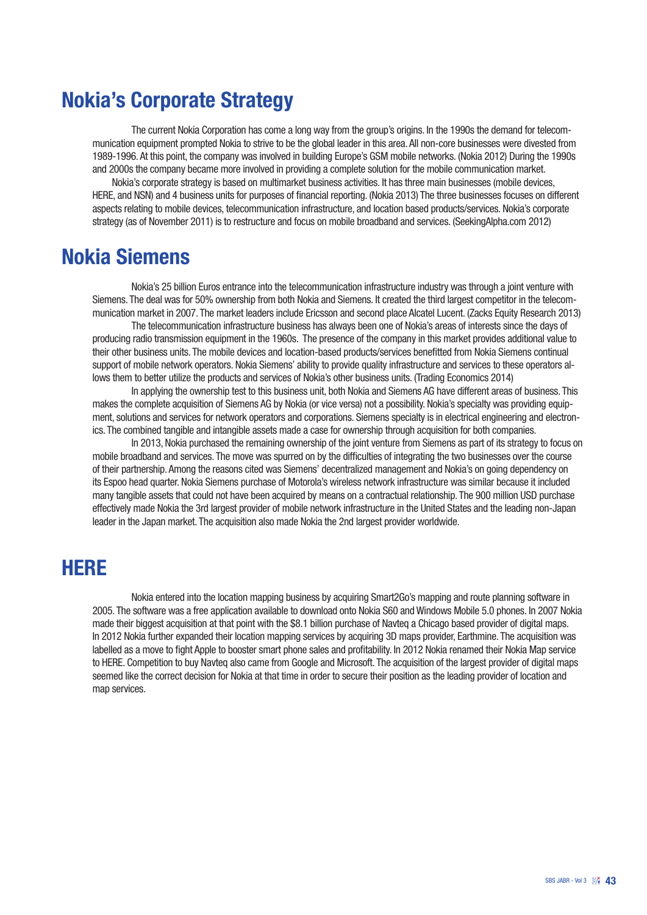## Nokia's Corporate Strategy

The current Nokia Corporation has come a long way from the group's origins. In the 1990s the demand for telecommunication equipment prompted Nokia to strive to be the global leader in this area. All non-core businesses were divested from 1989-1996. At this point, the company was involved in building Europe's GSM mobile networks. (Nokia 2012) During the 1990s and 2000s the company became more involved in providing a complete solution for the mobile communication market.

Nokia's corporate strategy is based on multimarket business activities. It has three main businesses (mobile devices, HERE, and NSN) and 4 business units for purposes of financial reporting. (Nokia 2013) The three businesses focuses on different aspects relating to mobile devices, telecommunication infrastructure, and location based products/services. Nokia's corporate strategy (as of November 2011) is to restructure and focus on mobile broadband and services. (SeekingAlpha.com 2012)

#### Nokia Siemens

Nokia's 25 billion Euros entrance into the telecommunication infrastructure industry was through a joint venture with Siemens. The deal was for 50% ownership from both Nokia and Siemens. It created the third largest competitor in the telecommunication market in 2007. The market leaders include Ericsson and second place Alcatel Lucent. (Zacks Equity Research 2013)

The telecommunication infrastructure business has always been one of Nokia's areas of interests since the days of producing radio transmission equipment in the 1960s. The presence of the company in this market provides additional value to their other business units. The mobile devices and location-based products/services benefitted from Nokia Siemens continual support of mobile network operators. Nokia Siemens' ability to provide quality infrastructure and services to these operators allows them to better utilize the products and services of Nokia's other business units. (Trading Economics 2014)

In applying the ownership test to this business unit, both Nokia and Siemens AG have different areas of business. This makes the complete acquisition of Siemens AG by Nokia (or vice versa) not a possibility. Nokia's specialty was providing equipment, solutions and services for network operators and corporations. Siemens specialty is in electrical engineering and electronics. The combined tangible and intangible assets made a case for ownership through acquisition for both companies.

In 2013, Nokia purchased the remaining ownership of the joint venture from Siemens as part of its strategy to focus on mobile broadband and services. The move was spurred on by the difficulties of integrating the two businesses over the course of their partnership. Among the reasons cited was Siemens' decentralized management and Nokia's on going dependency on its Espoo head quarter. Nokia Siemens purchase of Motorola's wireless network infrastructure was similar because it included many tangible assets that could not have been acquired by means on a contractual relationship. The 900 million USD purchase effectively made Nokia the 3rd largest provider of mobile network infrastructure in the United States and the leading non-Japan leader in the Japan market. The acquisition also made Nokia the 2nd largest provider worldwide.

#### HERE

Nokia entered into the location mapping business by acquiring Smart2Go's mapping and route planning software in 2005. The software was a free application available to download onto Nokia S60 and Windows Mobile 5.0 phones. In 2007 Nokia made their biggest acquisition at that point with the \$8.1 billion purchase of Navteq a Chicago based provider of digital maps. In 2012 Nokia further expanded their location mapping services by acquiring 3D maps provider, Earthmine. The acquisition was labelled as a move to fight Apple to booster smart phone sales and profitability. In 2012 Nokia renamed their Nokia Map service to HERE. Competition to buy Navteq also came from Google and Microsoft. The acquisition of the largest provider of digital maps seemed like the correct decision for Nokia at that time in order to secure their position as the leading provider of location and map services.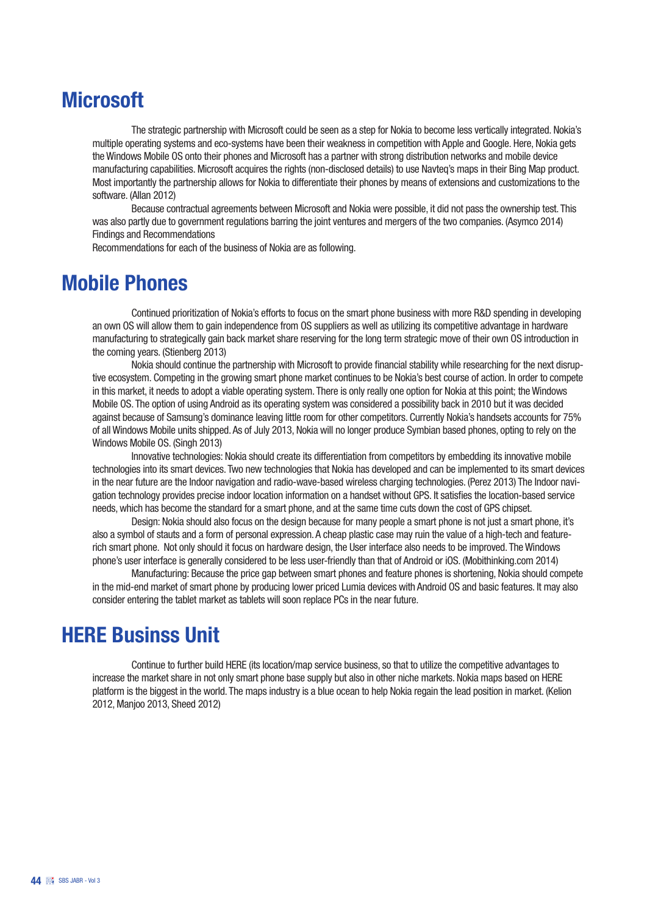## **Microsoft**

The strategic partnership with Microsoft could be seen as a step for Nokia to become less vertically integrated. Nokia's multiple operating systems and eco-systems have been their weakness in competition with Apple and Google. Here, Nokia gets the Windows Mobile OS onto their phones and Microsoft has a partner with strong distribution networks and mobile device manufacturing capabilities. Microsoft acquires the rights (non-disclosed details) to use Navteq's maps in their Bing Map product. Most importantly the partnership allows for Nokia to differentiate their phones by means of extensions and customizations to the software. (Allan 2012)

Because contractual agreements between Microsoft and Nokia were possible, it did not pass the ownership test. This was also partly due to government regulations barring the joint ventures and mergers of the two companies. (Asymco 2014) Findings and Recommendations

Recommendations for each of the business of Nokia are as following.

#### Mobile Phones

Continued prioritization of Nokia's efforts to focus on the smart phone business with more R&D spending in developing an own OS will allow them to gain independence from OS suppliers as well as utilizing its competitive advantage in hardware manufacturing to strategically gain back market share reserving for the long term strategic move of their own OS introduction in the coming years. (Stienberg 2013)

Nokia should continue the partnership with Microsoft to provide financial stability while researching for the next disruptive ecosystem. Competing in the growing smart phone market continues to be Nokia's best course of action. In order to compete in this market, it needs to adopt a viable operating system. There is only really one option for Nokia at this point; the Windows Mobile OS. The option of using Android as its operating system was considered a possibility back in 2010 but it was decided against because of Samsung's dominance leaving little room for other competitors. Currently Nokia's handsets accounts for 75% of all Windows Mobile units shipped. As of July 2013, Nokia will no longer produce Symbian based phones, opting to rely on the Windows Mobile OS. (Singh 2013)

Innovative technologies: Nokia should create its differentiation from competitors by embedding its innovative mobile technologies into its smart devices. Two new technologies that Nokia has developed and can be implemented to its smart devices in the near future are the Indoor navigation and radio-wave-based wireless charging technologies. (Perez 2013) The Indoor navigation technology provides precise indoor location information on a handset without GPS. It satisfies the location-based service needs, which has become the standard for a smart phone, and at the same time cuts down the cost of GPS chipset.

Design: Nokia should also focus on the design because for many people a smart phone is not just a smart phone, it's also a symbol of stauts and a form of personal expression. A cheap plastic case may ruin the value of a high-tech and featurerich smart phone. Not only should it focus on hardware design, the User interface also needs to be improved. The Windows phone's user interface is generally considered to be less user-friendly than that of Android or iOS. (Mobithinking.com 2014)

Manufacturing: Because the price gap between smart phones and feature phones is shortening, Nokia should compete in the mid-end market of smart phone by producing lower priced Lumia devices with Android OS and basic features. It may also consider entering the tablet market as tablets will soon replace PCs in the near future.

#### HERE Businss Unit

Continue to further build HERE (its location/map service business, so that to utilize the competitive advantages to increase the market share in not only smart phone base supply but also in other niche markets. Nokia maps based on HERE platform is the biggest in the world. The maps industry is a blue ocean to help Nokia regain the lead position in market. (Kelion 2012, Manjoo 2013, Sheed 2012)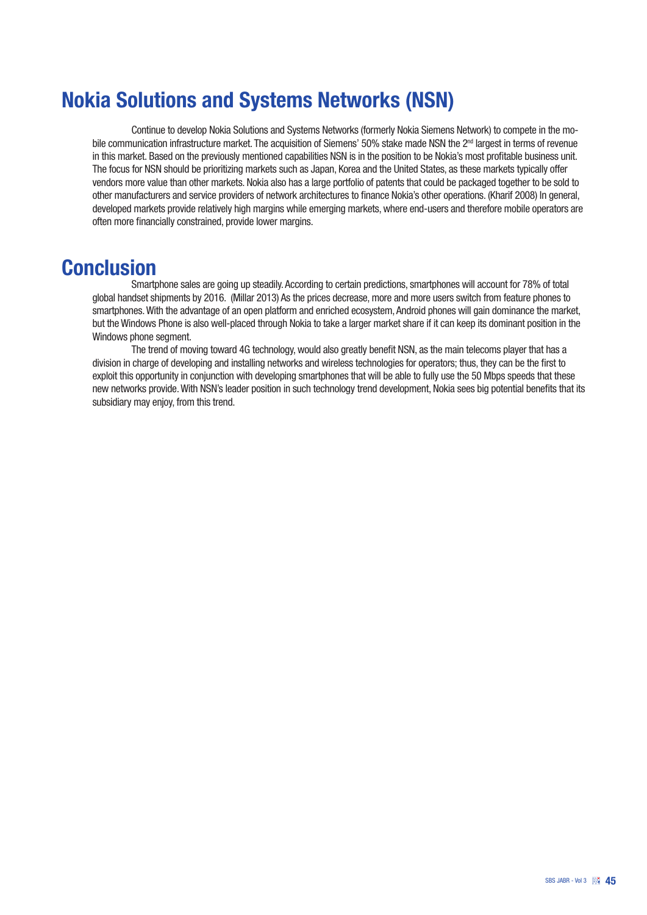# Nokia Solutions and Systems Networks (NSN)

Continue to develop Nokia Solutions and Systems Networks (formerly Nokia Siemens Network) to compete in the mobile communication infrastructure market. The acquisition of Siemens' 50% stake made NSN the 2<sup>nd</sup> largest in terms of revenue in this market. Based on the previously mentioned capabilities NSN is in the position to be Nokia's most profitable business unit. The focus for NSN should be prioritizing markets such as Japan, Korea and the United States, as these markets typically offer vendors more value than other markets. Nokia also has a large portfolio of patents that could be packaged together to be sold to other manufacturers and service providers of network architectures to finance Nokia's other operations. (Kharif 2008) In general, developed markets provide relatively high margins while emerging markets, where end-users and therefore mobile operators are often more financially constrained, provide lower margins.

#### **Conclusion**

Smartphone sales are going up steadily. According to certain predictions, smartphones will account for 78% of total global handset shipments by 2016. (Millar 2013) As the prices decrease, more and more users switch from feature phones to smartphones. With the advantage of an open platform and enriched ecosystem, Android phones will gain dominance the market, but the Windows Phone is also well-placed through Nokia to take a larger market share if it can keep its dominant position in the Windows phone segment.

The trend of moving toward 4G technology, would also greatly benefit NSN, as the main telecoms player that has a division in charge of developing and installing networks and wireless technologies for operators; thus, they can be the first to exploit this opportunity in conjunction with developing smartphones that will be able to fully use the 50 Mbps speeds that these new networks provide. With NSN's leader position in such technology trend development, Nokia sees big potential benefits that its subsidiary may enjoy, from this trend.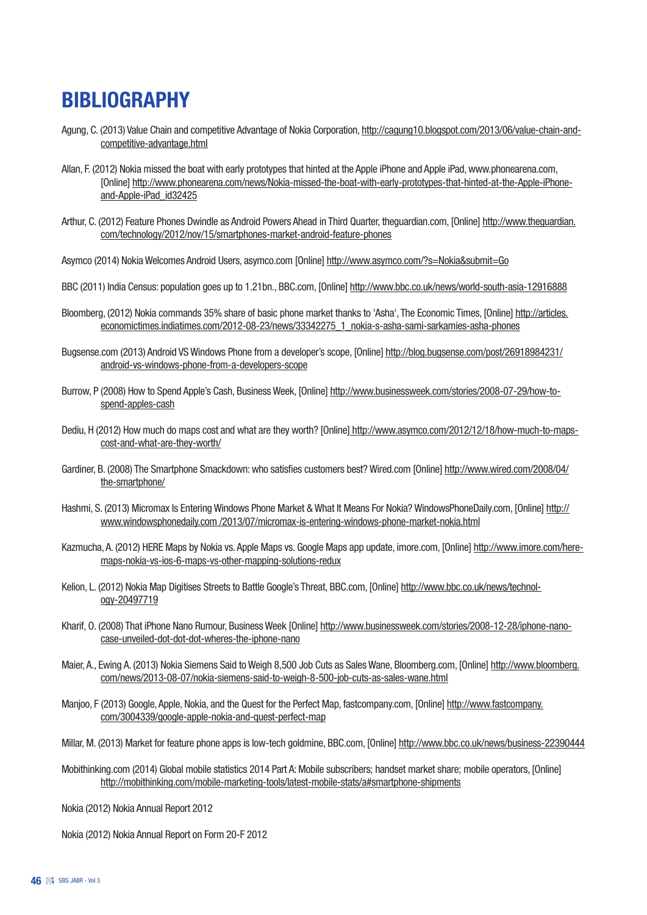# **BIBLIOGRAPHY**

- Agung, C. (2013) Value Chain and competitive Advantage of Nokia Corporation, http://cagung10.blogspot.com/2013/06/value-chain-andcompetitive-advantage.html
- Allan, F. (2012) Nokia missed the boat with early prototypes that hinted at the Apple iPhone and Apple iPad, www.phonearena.com, [Online] http://www.phonearena.com/news/Nokia-missed-the-boat-with-early-prototypes-that-hinted-at-the-Apple-iPhoneand-Apple-iPad\_id32425
- Arthur, C. (2012) Feature Phones Dwindle as Android Powers Ahead in Third Quarter, theguardian.com, [Online] http://www.theguardian. com/technology/2012/nov/15/smartphones-market-android-feature-phones
- Asymco (2014) Nokia Welcomes Android Users, asymco.com [Online] http://www.asymco.com/?s=Nokia&submit=Go
- BBC (2011) India Census: population goes up to 1.21bn., BBC.com, [Online] http://www.bbc.co.uk/news/world-south-asia-12916888
- Bloomberg, (2012) Nokia commands 35% share of basic phone market thanks to 'Asha', The Economic Times, [Online] http://articles. economictimes.indiatimes.com/2012-08-23/news/33342275\_1\_nokia-s-asha-sami-sarkamies-asha-phones
- Bugsense.com (2013) Android VS Windows Phone from a developer's scope, [Online] http://blog.bugsense.com/post/26918984231/ android-vs-windows-phone-from-a-developers-scope
- Burrow, P (2008) How to Spend Apple's Cash, Business Week, [Online] http://www.businessweek.com/stories/2008-07-29/how-tospend-apples-cash
- Dediu, H (2012) How much do maps cost and what are they worth? [Online] http://www.asymco.com/2012/12/18/how-much-to-mapscost-and-what-are-they-worth/
- Gardiner, B. (2008) The Smartphone Smackdown: who satisfies customers best? Wired.com [Online] http://www.wired.com/2008/04/ the-smartphone/
- Hashmi, S. (2013) Micromax Is Entering Windows Phone Market & What It Means For Nokia? WindowsPhoneDaily.com, [Online] http:// www.windowsphonedaily.com /2013/07/micromax-is-entering-windows-phone-market-nokia.html
- Kazmucha, A. (2012) HERE Maps by Nokia vs. Apple Maps vs. Google Maps app update, imore.com, [Online] http://www.imore.com/heremaps-nokia-vs-ios-6-maps-vs-other-mapping-solutions-redux
- Kelion, L. (2012) Nokia Map Digitises Streets to Battle Google's Threat, BBC.com, [Online] http://www.bbc.co.uk/news/technology-20497719
- Kharif, O. (2008) That iPhone Nano Rumour, Business Week [Online] http://www.businessweek.com/stories/2008-12-28/iphone-nanocase-unveiled-dot-dot-dot-wheres-the-iphone-nano
- Maier, A., Ewing A. (2013) Nokia Siemens Said to Weigh 8,500 Job Cuts as Sales Wane, Bloomberg.com, [Online] http://www.bloomberg. com/news/2013-08-07/nokia-siemens-said-to-weigh-8-500-job-cuts-as-sales-wane.html
- Manjoo, F (2013) Google, Apple, Nokia, and the Quest for the Perfect Map, fastcompany.com, [Online] http://www.fastcompany. com/3004339/google-apple-nokia-and-quest-perfect-map
- Millar, M. (2013) Market for feature phone apps is low-tech goldmine, BBC.com, [Online] http://www.bbc.co.uk/news/business-22390444
- Mobithinking.com (2014) Global mobile statistics 2014 Part A: Mobile subscribers; handset market share; mobile operators, [Online] http://mobithinking.com/mobile-marketing-tools/latest-mobile-stats/a#smartphone-shipments
- Nokia (2012) Nokia Annual Report 2012

Nokia (2012) Nokia Annual Report on Form 20-F 2012